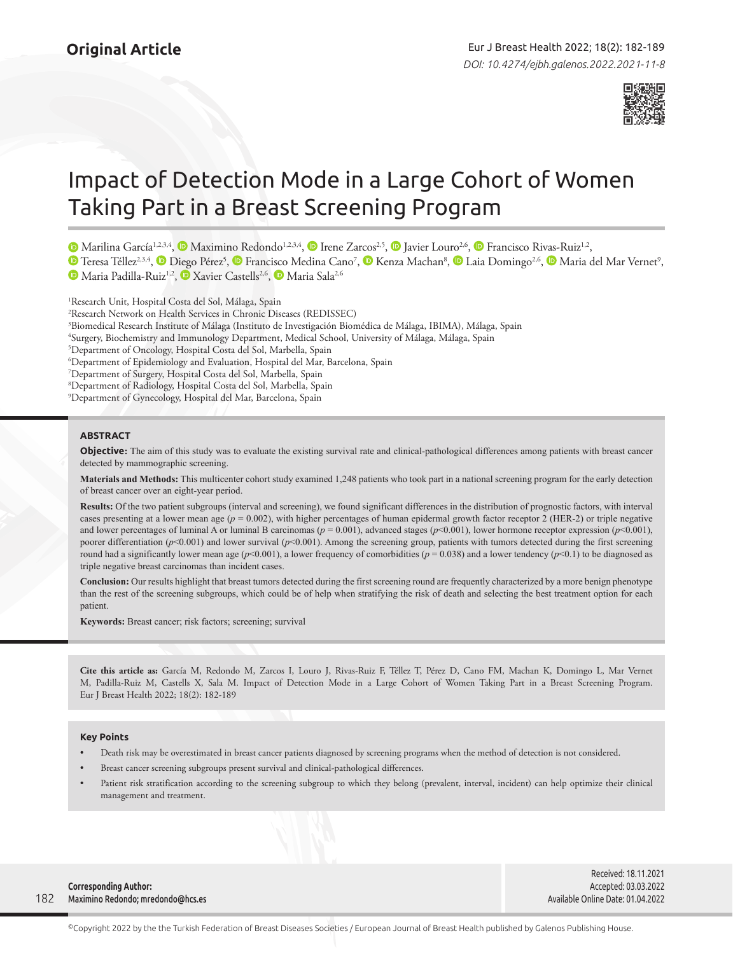

# Impact of Detection Mode in a Large Cohort of Women Taking Part in a Breast Screening Program

MarilinaGarcía<sup>1,2,3,4</sup>, <sup>®</sup> Maximino Redondo<sup>1,2,3,4</sup>, <sup>®</sup> Irene Zarcos<sup>2,5</sup>, <sup>®</sup> Javier Louro<sup>2,6</sup>, ® Francisco Rivas-Ruiz<sup>1,2</sup>,

TeresaTéllez<sup>2,3,4</sup>, **®** [D](https://orcid.org/)iego Pérez<sup>5</sup>, ® Francisco Medina Cano<sup>7</sup>, ® [K](https://orcid.org/0000-0003-1063-8457)enza Machan<sup>8</sup>, ® Laia Domingo<sup>2,6</sup>, ® Maria del Mar Vernet<sup>9</sup>, MariaPadilla-Ruiz<sup>1,2</sup>, **D** Xavier Castells<sup>2,6</sup>, **D** Maria Sala<sup>2,6</sup>

<sup>1</sup>Research Unit, Hospital Costa del Sol, Málaga, Spain Research Network on Health Services in Chronic Diseases (REDISSEC) Biomedical Research Institute of Málaga (Instituto de Investigación Biomédica de Málaga, IBIMA), Málaga, Spain Surgery, Biochemistry and Immunology Department, Medical School, University of Málaga, Málaga, Spain Department of Oncology, Hospital Costa del Sol, Marbella, Spain Department of Epidemiology and Evaluation, Hospital del Mar, Barcelona, Spain Department of Surgery, Hospital Costa del Sol, Marbella, Spain Department of Radiology, Hospital Costa del Sol, Marbella, Spain Department of Gynecology, Hospital del Mar, Barcelona, Spain

## **ABSTRACT**

**Objective:** The aim of this study was to evaluate the existing survival rate and clinical-pathological differences among patients with breast cancer detected by mammographic screening.

**Materials and Methods:** This multicenter cohort study examined 1,248 patients who took part in a national screening program for the early detection of breast cancer over an eight-year period.

**Results:** Of the two patient subgroups (interval and screening), we found significant differences in the distribution of prognostic factors, with interval cases presenting at a lower mean age  $(p = 0.002)$ , with higher percentages of human epidermal growth factor receptor 2 (HER-2) or triple negative and lower percentages of luminal A or luminal B carcinomas ( $p = 0.001$ ), advanced stages ( $p < 0.001$ ), lower hormone receptor expression ( $p < 0.001$ ), poorer differentiation ( $p$ <0.001) and lower survival ( $p$ <0.001). Among the screening group, patients with tumors detected during the first screening round had a significantly lower mean age  $(p<0.001)$ , a lower frequency of comorbidities  $(p = 0.038)$  and a lower tendency  $(p<0.1)$  to be diagnosed as triple negative breast carcinomas than incident cases.

**Conclusion:** Our results highlight that breast tumors detected during the first screening round are frequently characterized by a more benign phenotype than the rest of the screening subgroups, which could be of help when stratifying the risk of death and selecting the best treatment option for each patient.

**Keywords:** Breast cancer; risk factors; screening; survival

**Cite this article as:** García M, Redondo M, Zarcos I, Louro J, Rivas-Ruiz F, Téllez T, Pérez D, Cano FM, Machan K, Domingo L, Mar Vernet M, Padilla-Ruiz M, Castells X, Sala M. Impact of Detection Mode in a Large Cohort of Women Taking Part in a Breast Screening Program. Eur J Breast Health 2022; 18(2): 182-189

#### **Key Points**

- Death risk may be overestimated in breast cancer patients diagnosed by screening programs when the method of detection is not considered.
- Breast cancer screening subgroups present survival and clinical-pathological differences.
- Patient risk stratification according to the screening subgroup to which they belong (prevalent, interval, incident) can help optimize their clinical management and treatment.

182 **Corresponding Author:**  Maximino Redondo; mredondo@hcs.es

Received: 18.11.2021 Accepted: 03.03.2022 Available Online Date: 01.04.2022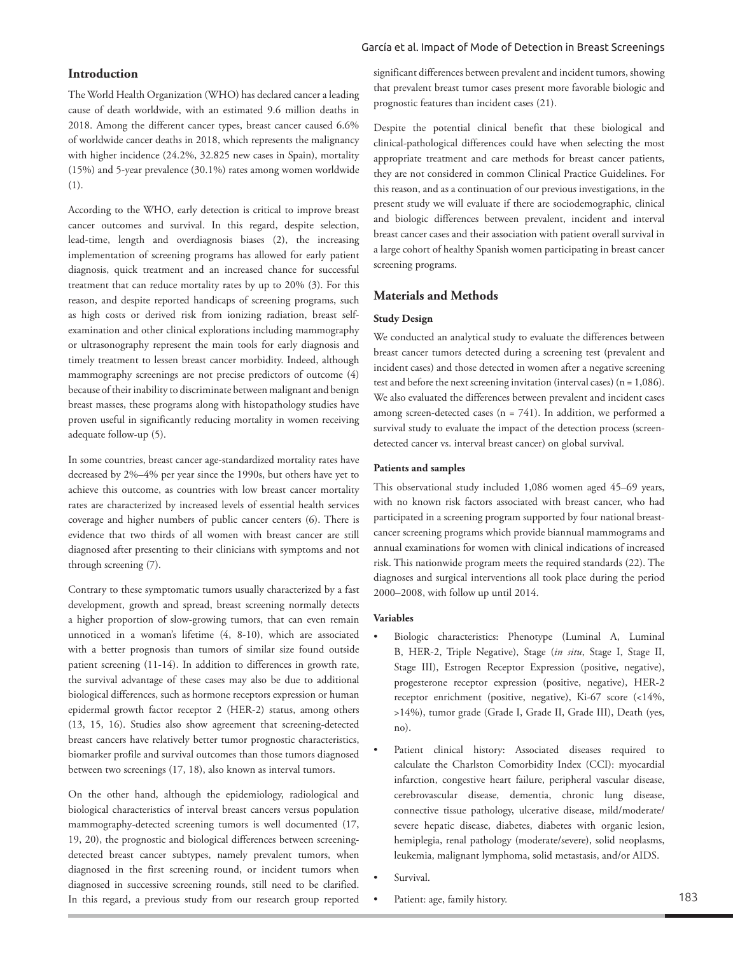## García et al. Impact of Mode of Detection in Breast Screenings

# **Introduction**

The World Health Organization (WHO) has declared cancer a leading cause of death worldwide, with an estimated 9.6 million deaths in 2018. Among the different cancer types, breast cancer caused 6.6% of worldwide cancer deaths in 2018, which represents the malignancy with higher incidence (24.2%, 32.825 new cases in Spain), mortality (15%) and 5-year prevalence (30.1%) rates among women worldwide (1).

According to the WHO, early detection is critical to improve breast cancer outcomes and survival. In this regard, despite selection, lead-time, length and overdiagnosis biases (2), the increasing implementation of screening programs has allowed for early patient diagnosis, quick treatment and an increased chance for successful treatment that can reduce mortality rates by up to 20% (3). For this reason, and despite reported handicaps of screening programs, such as high costs or derived risk from ionizing radiation, breast selfexamination and other clinical explorations including mammography or ultrasonography represent the main tools for early diagnosis and timely treatment to lessen breast cancer morbidity. Indeed, although mammography screenings are not precise predictors of outcome (4) because of their inability to discriminate between malignant and benign breast masses, these programs along with histopathology studies have proven useful in significantly reducing mortality in women receiving adequate follow-up (5).

In some countries, breast cancer age-standardized mortality rates have decreased by 2%–4% per year since the 1990s, but others have yet to achieve this outcome, as countries with low breast cancer mortality rates are characterized by increased levels of essential health services coverage and higher numbers of public cancer centers (6). There is evidence that two thirds of all women with breast cancer are still diagnosed after presenting to their clinicians with symptoms and not through screening (7).

Contrary to these symptomatic tumors usually characterized by a fast development, growth and spread, breast screening normally detects a higher proportion of slow-growing tumors, that can even remain unnoticed in a woman's lifetime (4, 8-10), which are associated with a better prognosis than tumors of similar size found outside patient screening (11-14). In addition to differences in growth rate, the survival advantage of these cases may also be due to additional biological differences, such as hormone receptors expression or human epidermal growth factor receptor 2 (HER-2) status, among others (13, 15, 16). Studies also show agreement that screening-detected breast cancers have relatively better tumor prognostic characteristics, biomarker profile and survival outcomes than those tumors diagnosed between two screenings (17, 18), also known as interval tumors.

On the other hand, although the epidemiology, radiological and biological characteristics of interval breast cancers versus population mammography-detected screening tumors is well documented (17, 19, 20), the prognostic and biological differences between screeningdetected breast cancer subtypes, namely prevalent tumors, when diagnosed in the first screening round, or incident tumors when diagnosed in successive screening rounds, still need to be clarified. In this regard, a previous study from our research group reported significant differences between prevalent and incident tumors, showing that prevalent breast tumor cases present more favorable biologic and prognostic features than incident cases (21).

Despite the potential clinical benefit that these biological and clinical-pathological differences could have when selecting the most appropriate treatment and care methods for breast cancer patients, they are not considered in common Clinical Practice Guidelines. For this reason, and as a continuation of our previous investigations, in the present study we will evaluate if there are sociodemographic, clinical and biologic differences between prevalent, incident and interval breast cancer cases and their association with patient overall survival in a large cohort of healthy Spanish women participating in breast cancer screening programs.

# **Materials and Methods**

# **Study Design**

We conducted an analytical study to evaluate the differences between breast cancer tumors detected during a screening test (prevalent and incident cases) and those detected in women after a negative screening test and before the next screening invitation (interval cases) ( $n = 1,086$ ). We also evaluated the differences between prevalent and incident cases among screen-detected cases ( $n = 741$ ). In addition, we performed a survival study to evaluate the impact of the detection process (screendetected cancer vs. interval breast cancer) on global survival.

## **Patients and samples**

This observational study included 1,086 women aged 45–69 years, with no known risk factors associated with breast cancer, who had participated in a screening program supported by four national breastcancer screening programs which provide biannual mammograms and annual examinations for women with clinical indications of increased risk. This nationwide program meets the required standards (22). The diagnoses and surgical interventions all took place during the period 2000–2008, with follow up until 2014.

# **Variables**

- Biologic characteristics: Phenotype (Luminal A, Luminal B, HER-2, Triple Negative), Stage (*in situ*, Stage I, Stage II, Stage III), Estrogen Receptor Expression (positive, negative), progesterone receptor expression (positive, negative), HER-2 receptor enrichment (positive, negative), Ki-67 score (<14%, >14%), tumor grade (Grade I, Grade II, Grade III), Death (yes, no).
- Patient clinical history: Associated diseases required to calculate the Charlston Comorbidity Index (CCI): myocardial infarction, congestive heart failure, peripheral vascular disease, cerebrovascular disease, dementia, chronic lung disease, connective tissue pathology, ulcerative disease, mild/moderate/ severe hepatic disease, diabetes, diabetes with organic lesion, hemiplegia, renal pathology (moderate/severe), solid neoplasms, leukemia, malignant lymphoma, solid metastasis, and/or AIDS.
- Survival.
- Patient: age, family history.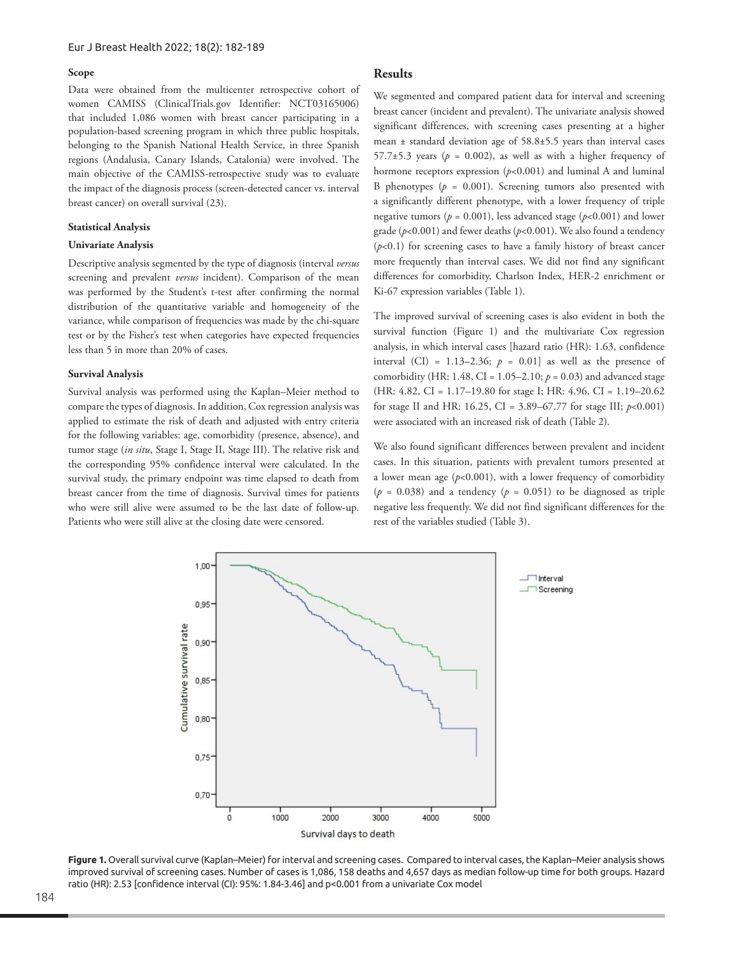## **Scope**

Data were obtained from the multicenter retrospective cohort of women CAMISS (ClinicalTrials.gov Identifier: NCT03165006) that included 1,086 women with breast cancer participating in a population-based screening program in which three public hospitals, belonging to the Spanish National Health Service, in three Spanish regions (Andalusia, Canary Islands, Catalonia) were involved. The main objective of the CAMISS-retrospective study was to evaluate the impact of the diagnosis process (screen-detected cancer vs. interval breast cancer) on overall survival (23).

#### **Statistical Analysis**

#### **Univariate Analysis**

Descriptive analysis segmented by the type of diagnosis (interval *versus* screening and prevalent *versus* incident). Comparison of the mean was performed by the Student's t-test after confirming the normal distribution of the quantitative variable and homogeneity of the variance, while comparison of frequencies was made by the chi-square test or by the Fisher's test when categories have expected frequencies less than 5 in more than 20% of cases.

#### **Survival Analysis**

Survival analysis was performed using the Kaplan–Meier method to compare the types of diagnosis. In addition, Cox regression analysis was applied to estimate the risk of death and adjusted with entry criteria for the following variables: age, comorbidity (presence, absence), and tumor stage (*in situ*, Stage I, Stage II, Stage III). The relative risk and the corresponding 95% confidence interval were calculated. In the survival study, the primary endpoint was time elapsed to death from breast cancer from the time of diagnosis. Survival times for patients who were still alive were assumed to be the last date of follow-up. Patients who were still alive at the closing date were censored.

# **Results**

We segmented and compared patient data for interval and screening breast cancer (incident and prevalent). The univariate analysis showed significant differences, with screening cases presenting at a higher mean ± standard deviation age of 58.8±5.5 years than interval cases 57.7 $\pm$ 5.3 years ( $p = 0.002$ ), as well as with a higher frequency of hormone receptors expression (*p*<0.001) and luminal A and luminal B phenotypes  $(p = 0.001)$ . Screening tumors also presented with a significantly different phenotype, with a lower frequency of triple negative tumors ( $p = 0.001$ ), less advanced stage ( $p < 0.001$ ) and lower grade (*p*<0.001) and fewer deaths (*p*<0.001). We also found a tendency  $(p<0.1)$  for screening cases to have a family history of breast cancer more frequently than interval cases. We did not find any significant differences for comorbidity, Charlson Index, HER-2 enrichment or Ki-67 expression variables (Table 1).

The improved survival of screening cases is also evident in both the survival function (Figure 1) and the multivariate Cox regression analysis, in which interval cases [hazard ratio (HR): 1.63, confidence interval (CI) =  $1.13-2.36$ ;  $p = 0.01$ ] as well as the presence of comorbidity (HR: 1.48, CI = 1.05–2.10; *p* = 0.03) and advanced stage (HR: 4.82, CI = 1.17–19.80 for stage I; HR: 4.96, CI = 1.19–20.62 for stage II and HR: 16.25, CI = 3.89–67.77 for stage III; *p*<0.001) were associated with an increased risk of death (Table 2).

We also found significant differences between prevalent and incident cases. In this situation, patients with prevalent tumors presented at a lower mean age  $(p<0.001)$ , with a lower frequency of comorbidity  $(p = 0.038)$  and a tendency  $(p = 0.051)$  to be diagnosed as triple negative less frequently. We did not find significant differences for the rest of the variables studied (Table 3).



**Figure 1.** Overall survival curve (Kaplan–Meier) for interval and screening cases. Compared to interval cases, the Kaplan–Meier analysis shows improved survival of screening cases. Number of cases is 1,086, 158 deaths and 4,657 days as median follow-up time for both groups. Hazard ratio (HR): 2.53 [confidence interval (CI): 95%: 1.84-3.46] and p<0.001 from a univariate Cox model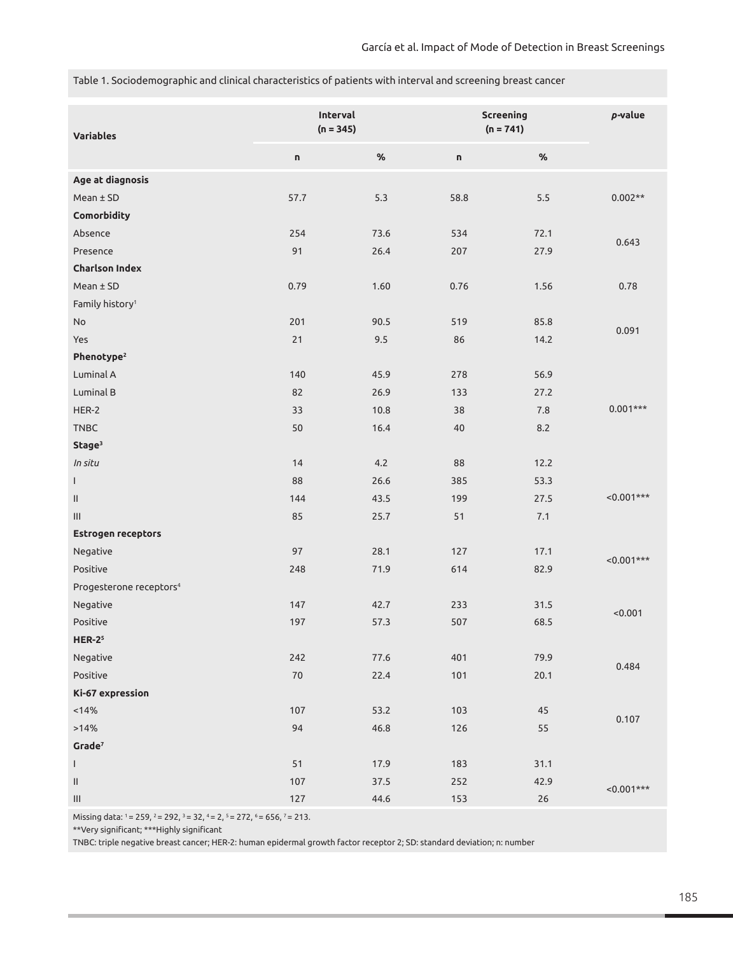Table 1. Sociodemographic and clinical characteristics of patients with interval and screening breast cancer

| <b>Variables</b>                    | Interval<br>$(n = 345)$ |      | <b>Screening</b><br>$(n = 741)$ |      | $p$ -value   |
|-------------------------------------|-------------------------|------|---------------------------------|------|--------------|
|                                     | U                       | $\%$ | n                               | $\%$ |              |
| Age at diagnosis                    |                         |      |                                 |      |              |
| $Mean \pm SD$                       | 57.7                    | 5.3  | 58.8                            | 5.5  | $0.002**$    |
| Comorbidity                         |                         |      |                                 |      |              |
| Absence                             | 254                     | 73.6 | 534                             | 72.1 |              |
| Presence                            | 91                      | 26.4 | 207                             | 27.9 | 0.643        |
| <b>Charlson Index</b>               |                         |      |                                 |      |              |
| $Mean \pm SD$                       | 0.79                    | 1.60 | 0.76                            | 1.56 | 0.78         |
| Family history <sup>1</sup>         |                         |      |                                 |      |              |
| <b>No</b>                           | 201                     | 90.5 | 519                             | 85.8 |              |
| Yes                                 | 21                      | 9.5  | 86                              | 14.2 | 0.091        |
| Phenotype <sup>2</sup>              |                         |      |                                 |      |              |
| Luminal A                           | 140                     | 45.9 | 278                             | 56.9 |              |
| Luminal B                           | 82                      | 26.9 | 133                             | 27.2 |              |
| HER-2                               | 33                      | 10.8 | 38                              | 7.8  | $0.001***$   |
| <b>TNBC</b>                         | 50                      | 16.4 | 40                              | 8.2  |              |
| Stage <sup>3</sup>                  |                         |      |                                 |      |              |
| In situ                             | 14                      | 4.2  | 88                              | 12.2 |              |
| $\mathbf{I}$                        | 88                      | 26.6 | 385                             | 53.3 |              |
| $\mathbf{H}$                        | 144                     | 43.5 | 199                             | 27.5 | $< 0.001***$ |
| III                                 | 85                      | 25.7 | 51                              | 7.1  |              |
| <b>Estrogen receptors</b>           |                         |      |                                 |      |              |
| Negative                            | 97                      | 28.1 | 127                             | 17.1 |              |
| Positive                            | 248                     | 71.9 | 614                             | 82.9 | $<0.001***$  |
| Progesterone receptors <sup>4</sup> |                         |      |                                 |      |              |
| Negative                            | 147                     | 42.7 | 233                             | 31.5 | < 0.001      |
| Positive                            | 197                     | 57.3 | 507                             | 68.5 |              |
| $HER-25$                            |                         |      |                                 |      |              |
| Negative                            | 242                     | 77.6 | 401                             | 79.9 |              |
| Positive                            | $70\,$                  | 22.4 | 101                             | 20.1 | 0.484        |
| Ki-67 expression                    |                         |      |                                 |      |              |
| < 14%                               | 107                     | 53.2 | 103                             | 45   | 0.107        |
| >14%                                | 94                      | 46.8 | 126                             | 55   |              |
| Grade <sup>7</sup>                  |                         |      |                                 |      |              |
| $\mathbf{I}$                        | 51                      | 17.9 | 183                             | 31.1 |              |
| $\mathbf{II}$                       | 107                     | 37.5 | 252                             | 42.9 |              |
| $\ensuremath{\mathsf{III}}\xspace$  | 127                     | 44.6 | 153                             | 26   | $< 0.001***$ |

Missing data: 1 = 259, 2 = 292, 3 = 32, 4 = 2, 5 = 272, 6 = 656, 7 = 213.

\*\*Very significant; \*\*\*Highly significant

TNBC: triple negative breast cancer; HER-2: human epidermal growth factor receptor 2; SD: standard deviation; n: number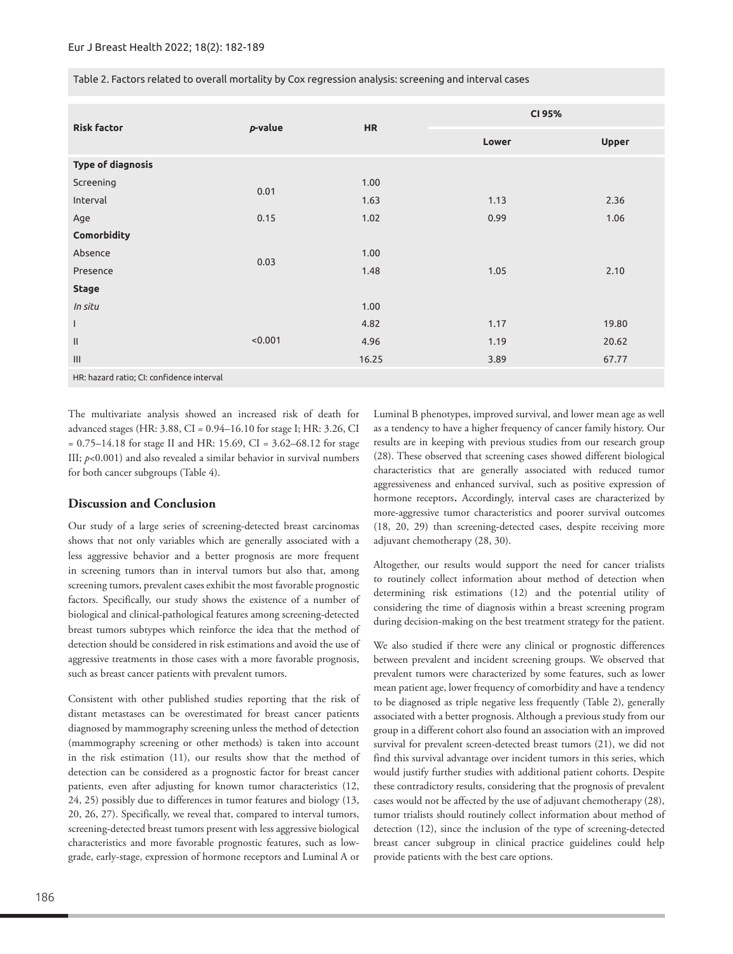| Table 2. Factors related to overall mortality by Cox regression analysis: screening and interval cases |  |  |  |
|--------------------------------------------------------------------------------------------------------|--|--|--|
|                                                                                                        |  |  |  |
|                                                                                                        |  |  |  |
|                                                                                                        |  |  |  |

| <b>Risk factor</b>       |         | <b>HR</b> | CI 95% |              |  |
|--------------------------|---------|-----------|--------|--------------|--|
|                          | p-value |           | Lower  | <b>Upper</b> |  |
| <b>Type of diagnosis</b> |         |           |        |              |  |
| Screening                | 0.01    | 1.00      |        |              |  |
| Interval                 |         | 1.63      | 1.13   | 2.36         |  |
| Age                      | 0.15    | 1.02      | 0.99   | 1.06         |  |
| Comorbidity              |         |           |        |              |  |
| Absence                  | 0.03    | 1.00      |        |              |  |
| Presence                 |         | 1.48      | 1.05   | 2.10         |  |
| <b>Stage</b>             |         |           |        |              |  |
| In situ                  |         | 1.00      |        |              |  |
| $\overline{1}$           |         | 4.82      | 1.17   | 19.80        |  |
| $\mathbf{H}$             | < 0.001 | 4.96      | 1.19   | 20.62        |  |
| $\mathbf{III}$           |         | 16.25     | 3.89   | 67.77        |  |

HR: hazard ratio; CI: confidence interval

The multivariate analysis showed an increased risk of death for advanced stages (HR: 3.88, CI = 0.94–16.10 for stage I; HR: 3.26, CI = 0.75–14.18 for stage II and HR: 15.69, CI = 3.62–68.12 for stage III; *p*<0.001) and also revealed a similar behavior in survival numbers for both cancer subgroups (Table 4).

# **Discussion and Conclusion**

Our study of a large series of screening-detected breast carcinomas shows that not only variables which are generally associated with a less aggressive behavior and a better prognosis are more frequent in screening tumors than in interval tumors but also that, among screening tumors, prevalent cases exhibit the most favorable prognostic factors. Specifically, our study shows the existence of a number of biological and clinical-pathological features among screening-detected breast tumors subtypes which reinforce the idea that the method of detection should be considered in risk estimations and avoid the use of aggressive treatments in those cases with a more favorable prognosis, such as breast cancer patients with prevalent tumors.

Consistent with other published studies reporting that the risk of distant metastases can be overestimated for breast cancer patients diagnosed by mammography screening unless the method of detection (mammography screening or other methods) is taken into account in the risk estimation (11), our results show that the method of detection can be considered as a prognostic factor for breast cancer patients, even after adjusting for known tumor characteristics (12, 24, 25) possibly due to differences in tumor features and biology (13, 20, 26, 27). Specifically, we reveal that, compared to interval tumors, screening-detected breast tumors present with less aggressive biological characteristics and more favorable prognostic features, such as lowgrade, early-stage, expression of hormone receptors and Luminal A or Luminal B phenotypes, improved survival, and lower mean age as well as a tendency to have a higher frequency of cancer family history. Our results are in keeping with previous studies from our research group (28). These observed that screening cases showed different biological characteristics that are generally associated with reduced tumor aggressiveness and enhanced survival, such as positive expression of hormone receptors. Accordingly, interval cases are characterized by more-aggressive tumor characteristics and poorer survival outcomes (18, 20, 29) than screening-detected cases, despite receiving more adjuvant chemotherapy (28, 30).

Altogether, our results would support the need for cancer trialists to routinely collect information about method of detection when determining risk estimations (12) and the potential utility of considering the time of diagnosis within a breast screening program during decision-making on the best treatment strategy for the patient.

We also studied if there were any clinical or prognostic differences between prevalent and incident screening groups. We observed that prevalent tumors were characterized by some features, such as lower mean patient age, lower frequency of comorbidity and have a tendency to be diagnosed as triple negative less frequently (Table 2), generally associated with a better prognosis. Although a previous study from our group in a different cohort also found an association with an improved survival for prevalent screen-detected breast tumors (21), we did not find this survival advantage over incident tumors in this series, which would justify further studies with additional patient cohorts. Despite these contradictory results, considering that the prognosis of prevalent cases would not be affected by the use of adjuvant chemotherapy (28), tumor trialists should routinely collect information about method of detection (12), since the inclusion of the type of screening-detected breast cancer subgroup in clinical practice guidelines could help provide patients with the best care options.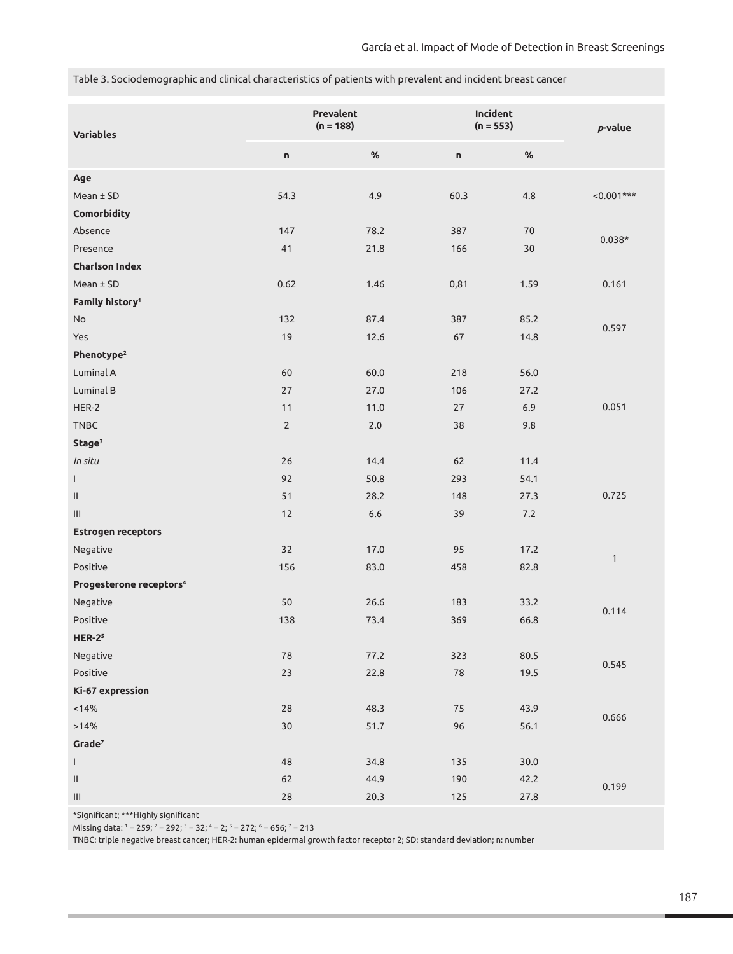Table 3. Sociodemographic and clinical characteristics of patients with prevalent and incident breast cancer

| <b>Variables</b>                    | Prevalent<br>$(n = 188)$ |         | Incident<br>$(n = 553)$ |          | $p$ -value   |
|-------------------------------------|--------------------------|---------|-------------------------|----------|--------------|
|                                     | n                        | $\%$    | n                       | $\%$     |              |
| Age                                 |                          |         |                         |          |              |
| $Mean \pm SD$                       | 54.3                     | 4.9     | 60.3                    | 4.8      | $< 0.001***$ |
| Comorbidity                         |                          |         |                         |          |              |
| Absence                             | 147                      | 78.2    | 387                     | 70       |              |
| Presence                            | 41                       | 21.8    | 166                     | $30$     | $0.038*$     |
| <b>Charlson Index</b>               |                          |         |                         |          |              |
| Mean ± SD                           | 0.62                     | 1.46    | 0,81                    | 1.59     | 0.161        |
| Family history <sup>1</sup>         |                          |         |                         |          |              |
| <b>No</b>                           | 132                      | 87.4    | 387                     | 85.2     | 0.597        |
| Yes                                 | 19                       | 12.6    | 67                      | 14.8     |              |
| Phenotype <sup>2</sup>              |                          |         |                         |          |              |
| Luminal A                           | 60                       | 60.0    | 218                     | 56.0     |              |
| Luminal B                           | 27                       | 27.0    | 106                     | 27.2     |              |
| HER-2                               | 11                       | 11.0    | 27                      | 6.9      | 0.051        |
| TNBC                                | $2\overline{ }$          | $2.0\,$ | 38                      | 9.8      |              |
| Stage <sup>3</sup>                  |                          |         |                         |          |              |
| In situ                             | 26                       | 14.4    | 62                      | 11.4     |              |
| $\mathsf{L}$                        | 92                       | 50.8    | 293                     | 54.1     |              |
| $\mathbf{II}$                       | 51                       | 28.2    | 148                     | 27.3     | 0.725        |
|                                     | 12                       | $6.6\,$ | 39                      | 7.2      |              |
| Estrogen receptors                  |                          |         |                         |          |              |
| Negative                            | 32                       | 17.0    | 95                      | 17.2     |              |
| Positive                            | 156                      | 83.0    | 458                     | 82.8     | $\mathbf{1}$ |
| Progesterone receptors <sup>4</sup> |                          |         |                         |          |              |
| Negative                            | 50                       | 26.6    | 183                     | 33.2     |              |
| Positive                            | 138                      | 73.4    | 369                     | 66.8     | 0.114        |
| $HER-25$                            |                          |         |                         |          |              |
| Negative                            | ${\bf 78}$               | 77.2    | 323                     | $80.5\,$ | 0.545        |
| Positive                            | 23                       | 22.8    | ${\bf 78}$              | 19.5     |              |
| Ki-67 expression                    |                          |         |                         |          |              |
| < 14%                               | 28                       | 48.3    | $75\,$                  | 43.9     | 0.666        |
| >14%                                | 30                       | 51.7    | 96                      | 56.1     |              |
| Grade <sup>7</sup>                  |                          |         |                         |          |              |
| $\mathbf{I}$                        | 48                       | 34.8    | 135                     | 30.0     |              |
| $\mathbf{II}$                       | 62                       | 44.9    | 190                     | 42.2     |              |
| $\ensuremath{\mathsf{III}}\xspace$  | 28                       | 20.3    | 125                     | 27.8     | 0.199        |

\*Significant; \*\*\*Highly significant

Missing data:  $1 = 259$ ;  $2 = 292$ ;  $3 = 32$ ;  $4 = 2$ ;  $5 = 272$ ;  $6 = 656$ ;  $7 = 213$ 

TNBC: triple negative breast cancer; HER-2: human epidermal growth factor receptor 2; SD: standard deviation; n: number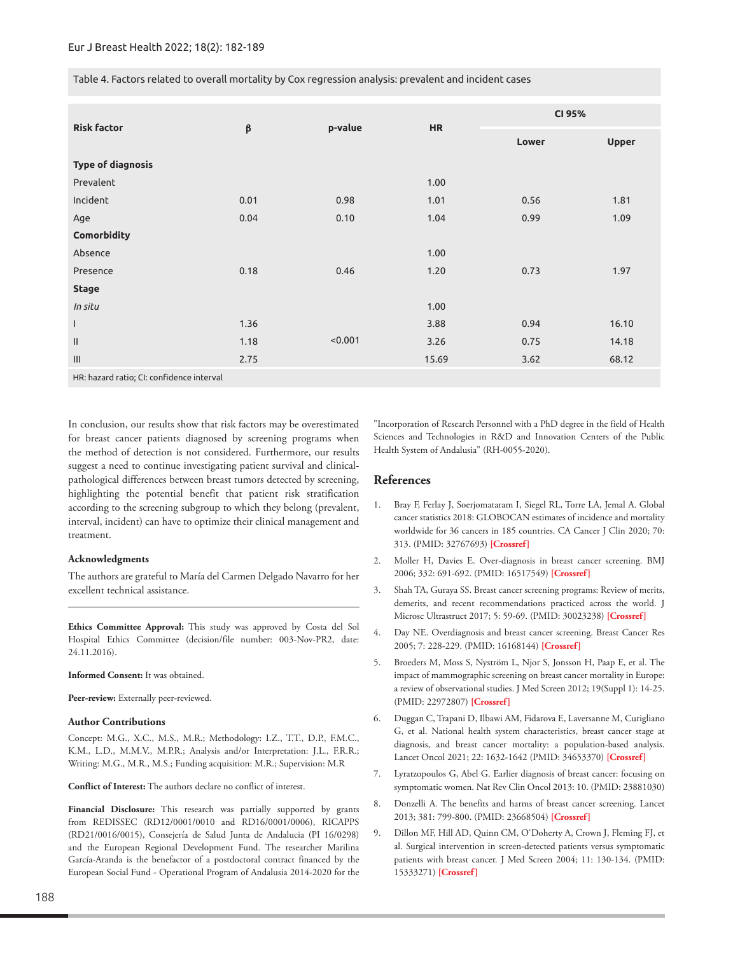Table 4. Factors related to overall mortality by Cox regression analysis: prevalent and incident cases

| <b>Risk factor</b>               |      |         |           | CI 95% |              |
|----------------------------------|------|---------|-----------|--------|--------------|
|                                  | β    | p-value | <b>HR</b> | Lower  | <b>Upper</b> |
| <b>Type of diagnosis</b>         |      |         |           |        |              |
| Prevalent                        |      |         | 1.00      |        |              |
| Incident                         | 0.01 | 0.98    | 1.01      | 0.56   | 1.81         |
| Age                              | 0.04 | 0.10    | 1.04      | 0.99   | 1.09         |
| Comorbidity                      |      |         |           |        |              |
| Absence                          |      |         | 1.00      |        |              |
| Presence                         | 0.18 | 0.46    | 1.20      | 0.73   | 1.97         |
| <b>Stage</b>                     |      |         |           |        |              |
| In situ                          |      |         | 1.00      |        |              |
| $\mathsf{I}$                     | 1.36 |         | 3.88      | 0.94   | 16.10        |
| $\mathbf{H}$                     | 1.18 | < 0.001 | 3.26      | 0.75   | 14.18        |
| $\mathop{\mathsf{III}}\nolimits$ | 2.75 |         | 15.69     | 3.62   | 68.12        |

HR: hazard ratio; CI: confidence interval

In conclusion, our results show that risk factors may be overestimated for breast cancer patients diagnosed by screening programs when the method of detection is not considered. Furthermore, our results suggest a need to continue investigating patient survival and clinicalpathological differences between breast tumors detected by screening, highlighting the potential benefit that patient risk stratification according to the screening subgroup to which they belong (prevalent, interval, incident) can have to optimize their clinical management and treatment.

## **Acknowledgments**

The authors are grateful to María del Carmen Delgado Navarro for her excellent technical assistance.

**Ethics Committee Approval:** This study was approved by Costa del Sol Hospital Ethics Committee (decision/file number: 003-Nov-PR2, date: 24.11.2016).

#### **Informed Consent:** It was obtained.

**Peer-review:** Externally peer-reviewed.

#### **Author Contributions**

Concept: M.G., X.C., M.S., M.R.; Methodology: I.Z., T.T., D.P., F.M.C., K.M., L.D., M.M.V., M.P.R.; Analysis and/or Interpretation: J.L., F.R.R.; Writing: M.G., M.R., M.S.; Funding acquisition: M.R.; Supervision: M.R

**Conflict of Interest:** The authors declare no conflict of interest.

**Financial Disclosure:** This research was partially supported by grants from REDISSEC (RD12/0001/0010 and RD16/0001/0006), RICAPPS (RD21/0016/0015), Consejería de Salud Junta de Andalucia (PI 16/0298) and the European Regional Development Fund. The researcher Marilina García-Aranda is the benefactor of a postdoctoral contract financed by the European Social Fund - Operational Program of Andalusia 2014-2020 for the

"Incorporation of Research Personnel with a PhD degree in the field of Health Sciences and Technologies in R&D and Innovation Centers of the Public Health System of Andalusia" (RH-0055-2020).

# **References**

- 1. Bray F, Ferlay J, Soerjomataram I, Siegel RL, Torre LA, Jemal A. Global cancer statistics 2018: GLOBOCAN estimates of incidence and mortality worldwide for 36 cancers in 185 countries. CA Cancer J Clin 2020; 70: 313. (PMID: 32767693) **[\[Crossref\]](https://doi.org/10.3322/caac.21609)**
- 2. Moller H, Davies E. Over-diagnosis in breast cancer screening. BMJ 2006; 332: 691-692. (PMID: 16517549) **[[Crossref](https://doi.org/10.1136/bmj.38768.401030.7C)]**
- 3. Shah TA, Guraya SS. Breast cancer screening programs: Review of merits, demerits, and recent recommendations practiced across the world. J Microsc Ultrastruct 2017; 5: 59-69. (PMID: 30023238) **[[Crossref\]](https://doi.org/10.1016/j.jmau.2016.10.002)**
- 4. Day NE. Overdiagnosis and breast cancer screening. Breast Cancer Res 2005; 7: 228-229. (PMID: 16168144) **[[Crossref](https://doi.org/10.1186/bcr1321)]**
- 5. Broeders M, Moss S, Nyström L, Njor S, Jonsson H, Paap E, et al. The impact of mammographic screening on breast cancer mortality in Europe: a review of observational studies. J Med Screen 2012; 19(Suppl 1): 14-25. (PMID: 22972807) **[\[Crossref\]](https://doi.org/10.1258/jms.2012.012078)**
- 6. Duggan C, Trapani D, Ilbawi AM, Fidarova E, Laversanne M, Curigliano G, et al. National health system characteristics, breast cancer stage at diagnosis, and breast cancer mortality: a population-based analysis. Lancet Oncol 2021; 22: 1632-1642 (PMID: 34653370) **[\[Crossref\]](https://doi.org/10.1016/S1470-2045(21)00462-9)**
- 7. [Lyratzopoulos G, Abel G. Earlier diagnosis of breast cancer: focusing on](https://doi.org/10.1038/nrclinonc.2012.126-c1)  symptomatic women. Nat Rev Clin Oncol 2013: 10. (PMID: 23881030)
- 8. Donzelli A. The benefits and harms of breast cancer screening. Lancet 2013; 381: 799-800. (PMID: 23668504) **[[Crossref\]](https://doi.org/10.1016/S0140-6736(13)60619-4)**
- 9. Dillon MF, Hill AD, Quinn CM, O'Doherty A, Crown J, Fleming FJ, et al. Surgical intervention in screen-detected patients versus symptomatic patients with breast cancer. J Med Screen 2004; 11: 130-134. (PMID: 15333271) **[\[Crossref\]](https://doi.org/0.1258/0969141041732238)**